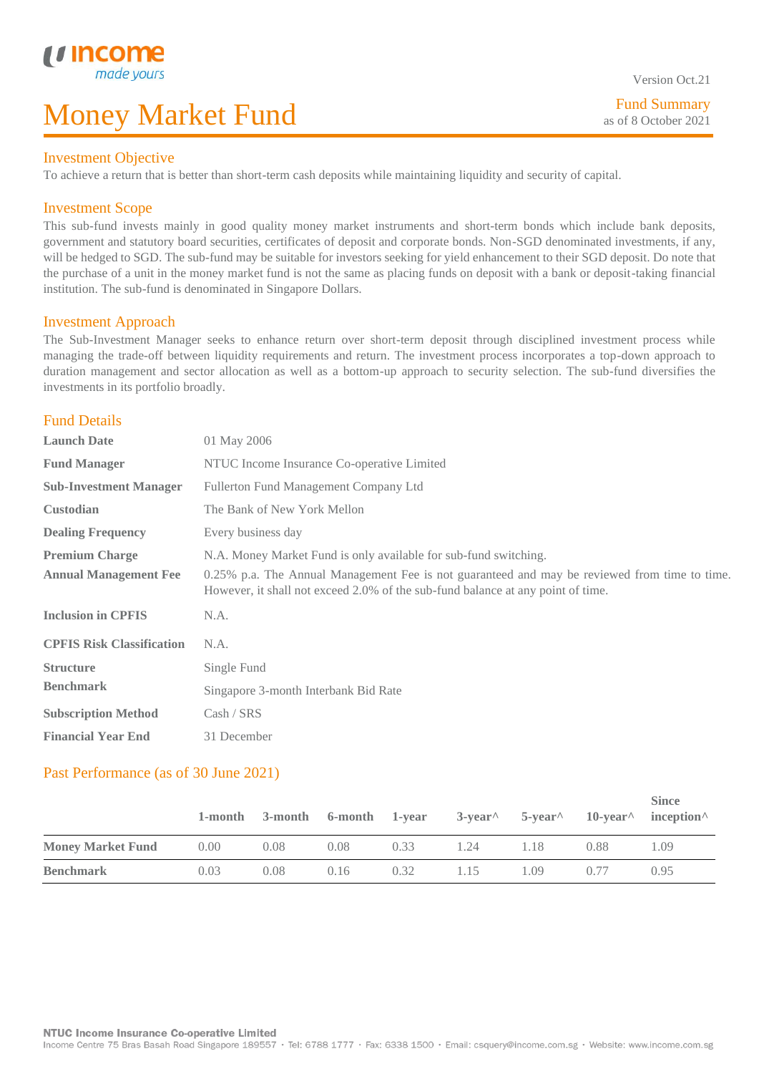Fund Summary as of 8 October 2021

 $\sim$ 

#### Investment Objective

L

To achieve a return that is better than short-term cash deposits while maintaining liquidity and security of capital.

### Investment Scope

This sub-fund invests mainly in good quality money market instruments and short-term bonds which include bank deposits, government and statutory board securities, certificates of deposit and corporate bonds. Non-SGD denominated investments, if any, will be hedged to SGD. The sub-fund may be suitable for investors seeking for yield enhancement to their SGD deposit. Do note that the purchase of a unit in the money market fund is not the same as placing funds on deposit with a bank or deposit-taking financial institution. The sub-fund is denominated in Singapore Dollars.

#### Investment Approach

The Sub-Investment Manager seeks to enhance return over short-term deposit through disciplined investment process while managing the trade-off between liquidity requirements and return. The investment process incorporates a top-down approach to duration management and sector allocation as well as a bottom-up approach to security selection. The sub-fund diversifies the investments in its portfolio broadly.

#### Fund Details

| <b>Launch Date</b>               | 01 May 2006                                                                                                                                                                      |
|----------------------------------|----------------------------------------------------------------------------------------------------------------------------------------------------------------------------------|
| <b>Fund Manager</b>              | NTUC Income Insurance Co-operative Limited                                                                                                                                       |
| <b>Sub-Investment Manager</b>    | Fullerton Fund Management Company Ltd                                                                                                                                            |
| <b>Custodian</b>                 | The Bank of New York Mellon                                                                                                                                                      |
| <b>Dealing Frequency</b>         | Every business day                                                                                                                                                               |
| <b>Premium Charge</b>            | N.A. Money Market Fund is only available for sub-fund switching.                                                                                                                 |
| <b>Annual Management Fee</b>     | 0.25% p.a. The Annual Management Fee is not guaranteed and may be reviewed from time to time.<br>However, it shall not exceed 2.0% of the sub-fund balance at any point of time. |
| <b>Inclusion in CPFIS</b>        | N.A.                                                                                                                                                                             |
| <b>CPFIS Risk Classification</b> | N.A.                                                                                                                                                                             |
| <b>Structure</b>                 | Single Fund                                                                                                                                                                      |
| <b>Benchmark</b>                 | Singapore 3-month Interbank Bid Rate                                                                                                                                             |
| <b>Subscription Method</b>       | Cash / SRS                                                                                                                                                                       |
| <b>Financial Year End</b>        | 31 December                                                                                                                                                                      |

## Past Performance (as of 30 June 2021)

|                          | 1-month |      | 3-month 6-month 1-year |      | $3$ -year <sup><math>\wedge</math></sup> 5-year $\wedge$ |       |      | <b>Since</b><br>$10$ -year <sup><math>\wedge</math></sup> inception $\wedge$ |
|--------------------------|---------|------|------------------------|------|----------------------------------------------------------|-------|------|------------------------------------------------------------------------------|
| <b>Money Market Fund</b> | 0.00    | 0.08 | 0.08                   | 0.33 | 1.24                                                     | 1.18. | 0.88 | (1)9                                                                         |
| <b>Benchmark</b>         | 0.03    | 0.08 | 0.16                   | 0.32 | 1.15                                                     | . 09  | 0.77 | 0.95                                                                         |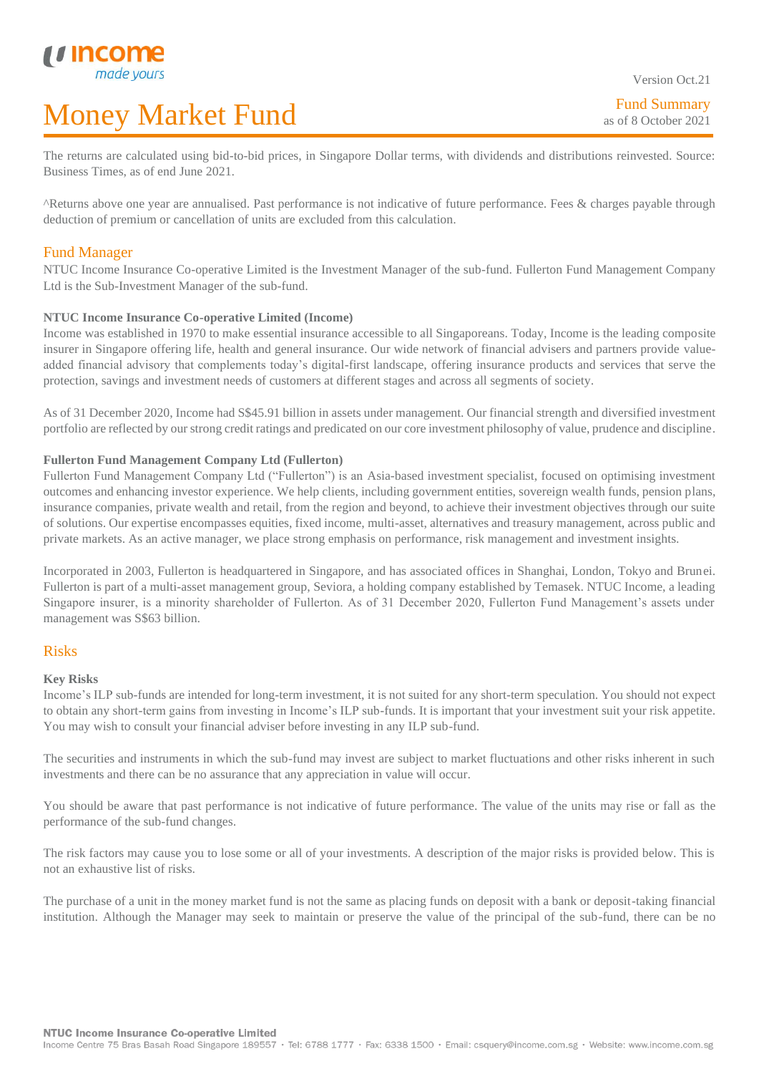The returns are calculated using bid-to-bid prices, in Singapore Dollar terms, with dividends and distributions reinvested. Source: Business Times, as of end June 2021.

^Returns above one year are annualised. Past performance is not indicative of future performance. Fees & charges payable through deduction of premium or cancellation of units are excluded from this calculation.

### Fund Manager

L

NTUC Income Insurance Co-operative Limited is the Investment Manager of the sub-fund. Fullerton Fund Management Company Ltd is the Sub-Investment Manager of the sub-fund.

#### **NTUC Income Insurance Co-operative Limited (Income)**

Income was established in 1970 to make essential insurance accessible to all Singaporeans. Today, Income is the leading composite insurer in Singapore offering life, health and general insurance. Our wide network of financial advisers and partners provide valueadded financial advisory that complements today's digital-first landscape, offering insurance products and services that serve the protection, savings and investment needs of customers at different stages and across all segments of society.

As of 31 December 2020, Income had S\$45.91 billion in assets under management. Our financial strength and diversified investment portfolio are reflected by our strong credit ratings and predicated on our core investment philosophy of value, prudence and discipline.

#### **Fullerton Fund Management Company Ltd (Fullerton)**

Fullerton Fund Management Company Ltd ("Fullerton") is an Asia-based investment specialist, focused on optimising investment outcomes and enhancing investor experience. We help clients, including government entities, sovereign wealth funds, pension plans, insurance companies, private wealth and retail, from the region and beyond, to achieve their investment objectives through our suite of solutions. Our expertise encompasses equities, fixed income, multi-asset, alternatives and treasury management, across public and private markets. As an active manager, we place strong emphasis on performance, risk management and investment insights.

Incorporated in 2003, Fullerton is headquartered in Singapore, and has associated offices in Shanghai, London, Tokyo and Brunei. Fullerton is part of a multi-asset management group, Seviora, a holding company established by Temasek. NTUC Income, a leading Singapore insurer, is a minority shareholder of Fullerton. As of 31 December 2020, Fullerton Fund Management's assets under management was S\$63 billion.

### Risks

#### **Key Risks**

Income's ILP sub-funds are intended for long-term investment, it is not suited for any short-term speculation. You should not expect to obtain any short-term gains from investing in Income's ILP sub-funds. It is important that your investment suit your risk appetite. You may wish to consult your financial adviser before investing in any ILP sub-fund.

The securities and instruments in which the sub-fund may invest are subject to market fluctuations and other risks inherent in such investments and there can be no assurance that any appreciation in value will occur.

You should be aware that past performance is not indicative of future performance. The value of the units may rise or fall as the performance of the sub-fund changes.

The risk factors may cause you to lose some or all of your investments. A description of the major risks is provided below. This is not an exhaustive list of risks.

The purchase of a unit in the money market fund is not the same as placing funds on deposit with a bank or deposit-taking financial institution. Although the Manager may seek to maintain or preserve the value of the principal of the sub-fund, there can be no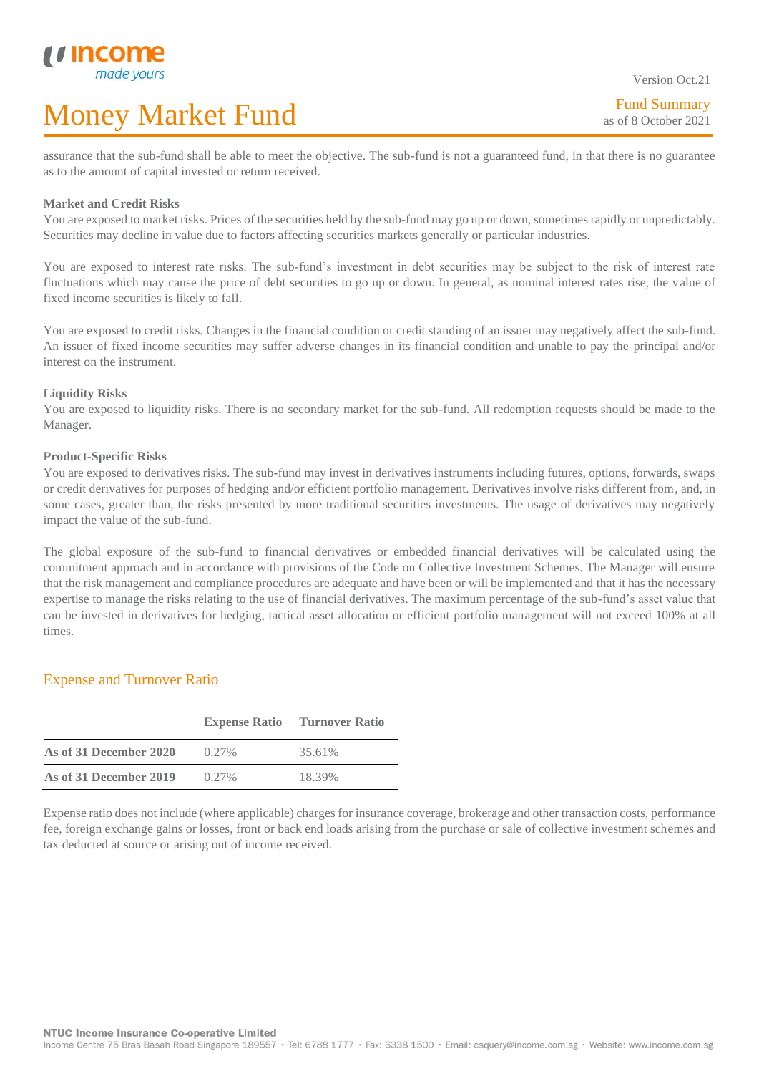Version Oct.21

assurance that the sub-fund shall be able to meet the objective. The sub-fund is not a guaranteed fund, in that there is no guarantee as to the amount of capital invested or return received.

#### **Market and Credit Risks**

L

You are exposed to market risks. Prices of the securities held by the sub-fund may go up or down, sometimes rapidly or unpredictably. Securities may decline in value due to factors affecting securities markets generally or particular industries.

You are exposed to interest rate risks. The sub-fund's investment in debt securities may be subject to the risk of interest rate fluctuations which may cause the price of debt securities to go up or down. In general, as nominal interest rates rise, the value of fixed income securities is likely to fall.

You are exposed to credit risks. Changes in the financial condition or credit standing of an issuer may negatively affect the sub-fund. An issuer of fixed income securities may suffer adverse changes in its financial condition and unable to pay the principal and/or interest on the instrument.

#### **Liquidity Risks**

You are exposed to liquidity risks. There is no secondary market for the sub-fund. All redemption requests should be made to the Manager.

#### **Product-Specific Risks**

You are exposed to derivatives risks. The sub-fund may invest in derivatives instruments including futures, options, forwards, swaps or credit derivatives for purposes of hedging and/or efficient portfolio management. Derivatives involve risks different from, and, in some cases, greater than, the risks presented by more traditional securities investments. The usage of derivatives may negatively impact the value of the sub-fund.

The global exposure of the sub-fund to financial derivatives or embedded financial derivatives will be calculated using the commitment approach and in accordance with provisions of the Code on Collective Investment Schemes. The Manager will ensure that the risk management and compliance procedures are adequate and have been or will be implemented and that it has the necessary expertise to manage the risks relating to the use of financial derivatives. The maximum percentage of the sub-fund's asset value that can be invested in derivatives for hedging, tactical asset allocation or efficient portfolio management will not exceed 100% at all times.

## Expense and Turnover Ratio

|                        | <b>Expense Ratio</b> | <b>Turnover Ratio</b> |
|------------------------|----------------------|-----------------------|
| As of 31 December 2020 | $0.27\%$             | 35.61%                |
| As of 31 December 2019 | $0.27\%$             | 18.39%                |

Expense ratio does not include (where applicable) charges for insurance coverage, brokerage and other transaction costs, performance fee, foreign exchange gains or losses, front or back end loads arising from the purchase or sale of collective investment schemes and tax deducted at source or arising out of income received.

Income Centre 75 Bras Basah Road Singapore 189557 · Tel: 6788 1777 · Fax: 6338 1500 · Email: csquery@income.com.sg · Website: www.income.com.sg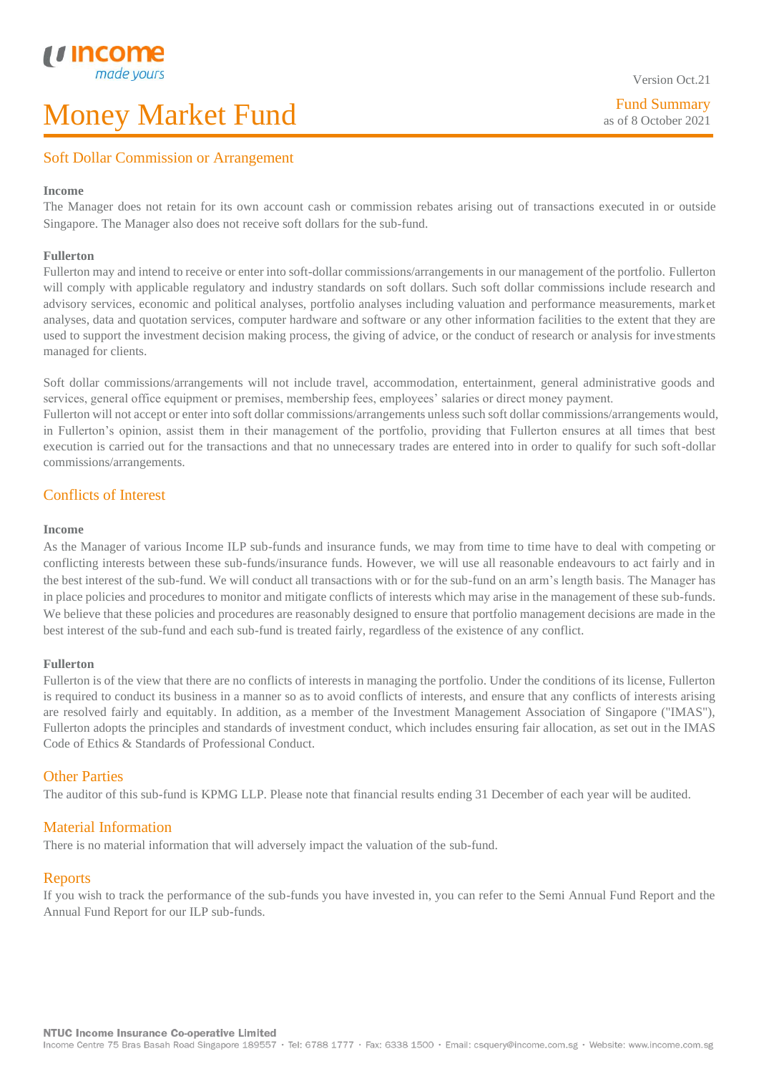Fund Summary as of 8 October 2021

## Soft Dollar Commission or Arrangement

#### **Income**

L

The Manager does not retain for its own account cash or commission rebates arising out of transactions executed in or outside Singapore. The Manager also does not receive soft dollars for the sub-fund.

#### **Fullerton**

Fullerton may and intend to receive or enter into soft-dollar commissions/arrangements in our management of the portfolio. Fullerton will comply with applicable regulatory and industry standards on soft dollars. Such soft dollar commissions include research and advisory services, economic and political analyses, portfolio analyses including valuation and performance measurements, market analyses, data and quotation services, computer hardware and software or any other information facilities to the extent that they are used to support the investment decision making process, the giving of advice, or the conduct of research or analysis for investments managed for clients.

Soft dollar commissions/arrangements will not include travel, accommodation, entertainment, general administrative goods and services, general office equipment or premises, membership fees, employees' salaries or direct money payment.

Fullerton will not accept or enter into soft dollar commissions/arrangements unless such soft dollar commissions/arrangements would, in Fullerton's opinion, assist them in their management of the portfolio, providing that Fullerton ensures at all times that best execution is carried out for the transactions and that no unnecessary trades are entered into in order to qualify for such soft-dollar commissions/arrangements.

## Conflicts of Interest

#### **Income**

As the Manager of various Income ILP sub-funds and insurance funds, we may from time to time have to deal with competing or conflicting interests between these sub-funds/insurance funds. However, we will use all reasonable endeavours to act fairly and in the best interest of the sub-fund. We will conduct all transactions with or for the sub-fund on an arm's length basis. The Manager has in place policies and procedures to monitor and mitigate conflicts of interests which may arise in the management of these sub-funds. We believe that these policies and procedures are reasonably designed to ensure that portfolio management decisions are made in the best interest of the sub-fund and each sub-fund is treated fairly, regardless of the existence of any conflict.

#### **Fullerton**

Fullerton is of the view that there are no conflicts of interests in managing the portfolio. Under the conditions of its license, Fullerton is required to conduct its business in a manner so as to avoid conflicts of interests, and ensure that any conflicts of interests arising are resolved fairly and equitably. In addition, as a member of the Investment Management Association of Singapore ("IMAS"), Fullerton adopts the principles and standards of investment conduct, which includes ensuring fair allocation, as set out in the IMAS Code of Ethics & Standards of Professional Conduct.

#### Other Parties

The auditor of this sub-fund is KPMG LLP. Please note that financial results ending 31 December of each year will be audited.

#### Material Information

There is no material information that will adversely impact the valuation of the sub-fund.

#### Reports

If you wish to track the performance of the sub-funds you have invested in, you can refer to the Semi Annual Fund Report and the Annual Fund Report for our ILP sub-funds.